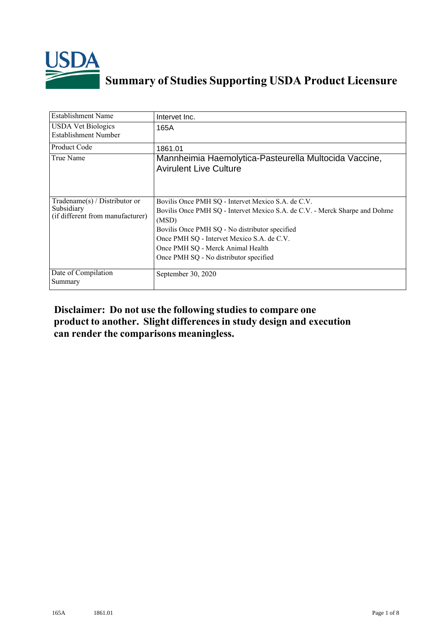

## **Summary of Studies Supporting USDA Product Licensure**

| <b>Establishment Name</b>                                                          | Intervet Inc.                                                                                                                                                                                                                                                                                                             |
|------------------------------------------------------------------------------------|---------------------------------------------------------------------------------------------------------------------------------------------------------------------------------------------------------------------------------------------------------------------------------------------------------------------------|
| <b>USDA Vet Biologics</b><br><b>Establishment Number</b>                           | 165A                                                                                                                                                                                                                                                                                                                      |
| <b>Product Code</b>                                                                | 1861.01                                                                                                                                                                                                                                                                                                                   |
| True Name                                                                          | Mannheimia Haemolytica-Pasteurella Multocida Vaccine,<br><b>Avirulent Live Culture</b>                                                                                                                                                                                                                                    |
| Tradename $(s)$ / Distributor or<br>Subsidiary<br>(if different from manufacturer) | Bovilis Once PMH SQ - Intervet Mexico S.A. de C.V.<br>Bovilis Once PMH SQ - Intervet Mexico S.A. de C.V. - Merck Sharpe and Dohme<br>(MSD)<br>Bovilis Once PMH SQ - No distributor specified<br>Once PMH SQ - Intervet Mexico S.A. de C.V.<br>Once PMH SQ - Merck Animal Health<br>Once PMH SQ - No distributor specified |
| Date of Compilation<br>Summary                                                     | September 30, 2020                                                                                                                                                                                                                                                                                                        |

## **Disclaimer: Do not use the following studiesto compare one product to another. Slight differencesin study design and execution can render the comparisons meaningless.**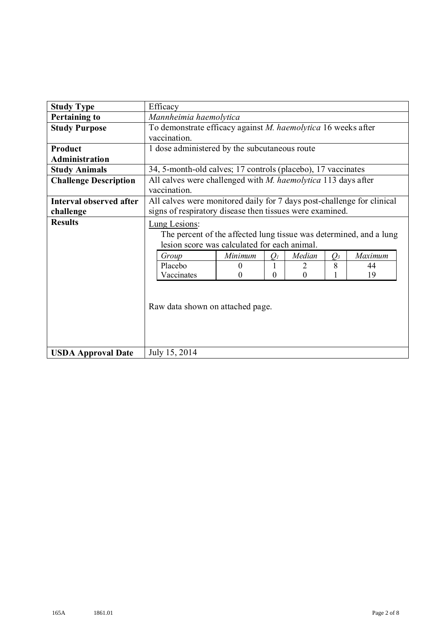| <b>Study Type</b>            | Efficacy                                                                                                                                                                                                                                                                                                                            |  |  |
|------------------------------|-------------------------------------------------------------------------------------------------------------------------------------------------------------------------------------------------------------------------------------------------------------------------------------------------------------------------------------|--|--|
| <b>Pertaining to</b>         | Mannheimia haemolytica                                                                                                                                                                                                                                                                                                              |  |  |
| <b>Study Purpose</b>         | To demonstrate efficacy against M. haemolytica 16 weeks after                                                                                                                                                                                                                                                                       |  |  |
|                              | vaccination.                                                                                                                                                                                                                                                                                                                        |  |  |
| Product                      | 1 dose administered by the subcutaneous route                                                                                                                                                                                                                                                                                       |  |  |
| Administration               |                                                                                                                                                                                                                                                                                                                                     |  |  |
| <b>Study Animals</b>         | 34, 5-month-old calves; 17 controls (placebo), 17 vaccinates                                                                                                                                                                                                                                                                        |  |  |
| <b>Challenge Description</b> | All calves were challenged with <i>M. haemolytica</i> 113 days after<br>vaccination.                                                                                                                                                                                                                                                |  |  |
| Interval observed after      | All calves were monitored daily for 7 days post-challenge for clinical                                                                                                                                                                                                                                                              |  |  |
| challenge                    | signs of respiratory disease then tissues were examined.                                                                                                                                                                                                                                                                            |  |  |
| <b>Results</b>               | Lung Lesions:<br>The percent of the affected lung tissue was determined, and a lung<br>lesion score was calculated for each animal.<br>Median<br>Maximum<br>Minimum<br>$O_3$<br>Group<br>O <sub>I</sub><br>Placebo<br>8<br>2<br>44<br>0<br>19<br>Vaccinates<br>$\Omega$<br>$\Omega$<br>$\Omega$<br>Raw data shown on attached page. |  |  |
| <b>USDA Approval Date</b>    | July 15, 2014                                                                                                                                                                                                                                                                                                                       |  |  |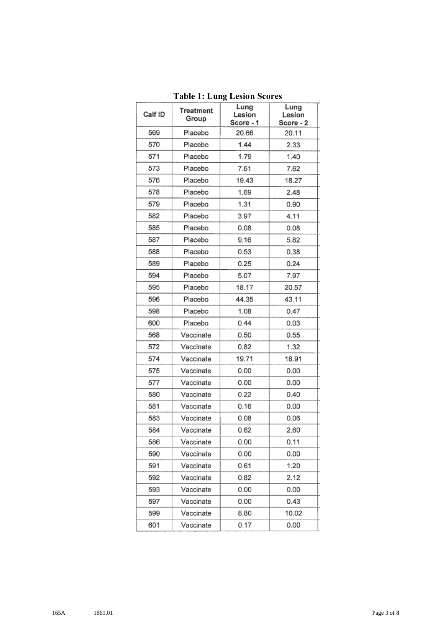| Calf ID | Treatment<br>Group | Lung<br>Lesion<br>Score - 1 | Lung<br>Lesion<br>Score - 2 |
|---------|--------------------|-----------------------------|-----------------------------|
| 569     | Placebo            | 20.66                       | 20.11                       |
| 570     | Placebo            | 1.44                        | 2.33                        |
| 571     | Placebo            | 1.79                        | 1.40                        |
| 573     | Placebo            | 7.61                        | 7.62                        |
| 576     | Placebo            | 19.43                       | 18.27                       |
| 578     | Placebo            | 1.69                        | 2.48                        |
| 579     | Placebo            | 1.31                        | 0.90                        |
| 582     | Placebo            | 3.97                        | 4.11                        |
| 585     | Placebo            | 0.08                        | 0.08                        |
| 587     | Placebo            | 9.16                        | 5.82                        |
| 588     | Placebo            | 0.53                        | 0.38                        |
| 589     | Placebo            | 0.25                        | 0.24                        |
| 594     | Placebo            | 5.07                        | 7.97                        |
| 595     | Placebo            | 18.17                       | 20.57                       |
| 596     | Placebo            | 44.35                       | 43.11                       |
| 598     | Placebo            | 1.08                        | 0.47                        |
| 600     | Placebo            | 0.44                        | 0.03                        |
| 568     | Vaccinate          | 0.50                        | 0.55                        |
| 572     | Vaccinate          | 0.82                        | 1.32                        |
| 574     | Vaccinate          | 19.71                       | 18.91                       |
| 575     | Vaccinate          | 0.00                        | 0.00                        |
| 577     | Vaccinate          | 0.00                        | 0.00                        |
| 580     | Vaccinate          | 0.22                        | 0.40                        |
| 581     | Vaccinate          | 0.16                        | 0.00                        |
| 583     | Vaccinate          | 0.08                        | 0.06                        |
| 584     | Vaccinate          | 0.62                        | 2.60                        |
| 586     | Vaccinate          | 0.00                        | 0.11                        |
| 590     | Vaccinate          | 0.00                        | 0.00                        |
| 591     | Vaccinate          | 0.61                        | 1.20                        |
| 592     | Vaccinate          | 0.82                        | 2.12                        |
| 593     | Vaccinate          | 0.00                        | 0.00                        |
| 597     | Vaccinate          | 0.00                        | 0.43                        |
| 599     | Vaccinate          | 8.80                        | 10.02                       |
| 601     | Vaccinate          | 0.17                        | 0.00                        |

**Table 1: Lung Lesion Scores**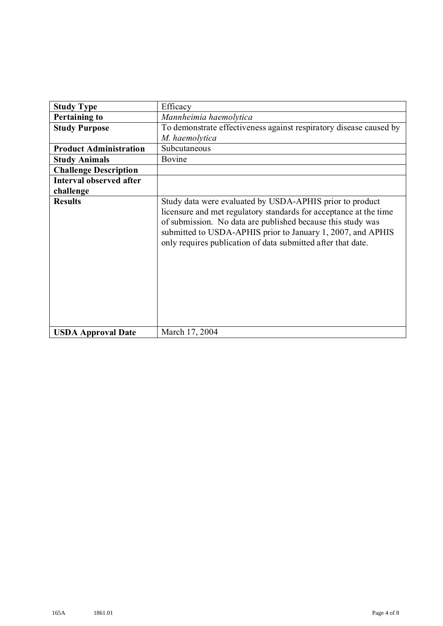| <b>Study Type</b>              | Efficacy                                                                                                                                                                                                                                                                                                                    |  |
|--------------------------------|-----------------------------------------------------------------------------------------------------------------------------------------------------------------------------------------------------------------------------------------------------------------------------------------------------------------------------|--|
| <b>Pertaining to</b>           | Mannheimia haemolytica                                                                                                                                                                                                                                                                                                      |  |
| <b>Study Purpose</b>           | To demonstrate effectiveness against respiratory disease caused by<br>M. haemolytica                                                                                                                                                                                                                                        |  |
| <b>Product Administration</b>  | Subcutaneous                                                                                                                                                                                                                                                                                                                |  |
| <b>Study Animals</b>           | Bovine                                                                                                                                                                                                                                                                                                                      |  |
| <b>Challenge Description</b>   |                                                                                                                                                                                                                                                                                                                             |  |
| <b>Interval observed after</b> |                                                                                                                                                                                                                                                                                                                             |  |
| challenge                      |                                                                                                                                                                                                                                                                                                                             |  |
| <b>Results</b>                 | Study data were evaluated by USDA-APHIS prior to product<br>licensure and met regulatory standards for acceptance at the time<br>of submission. No data are published because this study was<br>submitted to USDA-APHIS prior to January 1, 2007, and APHIS<br>only requires publication of data submitted after that date. |  |
| <b>USDA Approval Date</b>      | March 17, 2004                                                                                                                                                                                                                                                                                                              |  |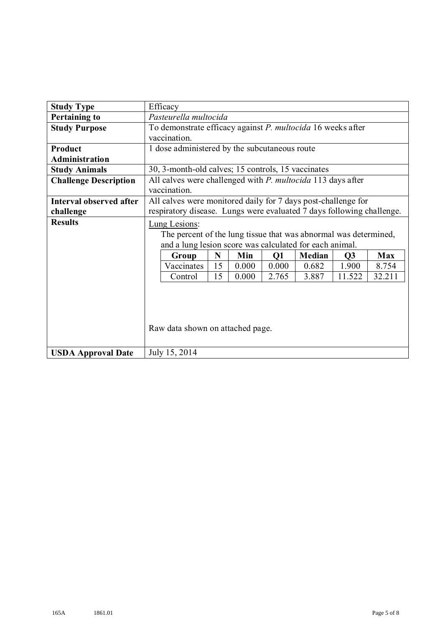| <b>Study Type</b>            | Efficacy                                                                                                                                                                                              |  |  |
|------------------------------|-------------------------------------------------------------------------------------------------------------------------------------------------------------------------------------------------------|--|--|
| <b>Pertaining to</b>         | Pasteurella multocida                                                                                                                                                                                 |  |  |
| <b>Study Purpose</b>         | To demonstrate efficacy against P. multocida 16 weeks after                                                                                                                                           |  |  |
|                              | vaccination.                                                                                                                                                                                          |  |  |
| Product                      | 1 dose administered by the subcutaneous route                                                                                                                                                         |  |  |
| <b>Administration</b>        |                                                                                                                                                                                                       |  |  |
| <b>Study Animals</b>         | 30, 3-month-old calves; 15 controls, 15 vaccinates                                                                                                                                                    |  |  |
| <b>Challenge Description</b> | All calves were challenged with P. multocida 113 days after<br>vaccination.                                                                                                                           |  |  |
| Interval observed after      | All calves were monitored daily for 7 days post-challenge for                                                                                                                                         |  |  |
| challenge                    | respiratory disease. Lungs were evaluated 7 days following challenge.                                                                                                                                 |  |  |
| <b>Results</b>               | Lung Lesions:<br>The percent of the lung tissue that was abnormal was determined,<br>and a lung lesion score was calculated for each animal.<br><b>Median</b><br>N<br>Min<br>Q1<br>Max<br>Group<br>Q3 |  |  |
|                              | Vaccinates<br>15<br>0.000<br>0.682<br>1.900<br>8.754<br>0.000                                                                                                                                         |  |  |
|                              | 15<br>0.000<br>2.765<br>11.522<br>32.211<br>3.887<br>Control                                                                                                                                          |  |  |
|                              | Raw data shown on attached page.                                                                                                                                                                      |  |  |
| <b>USDA Approval Date</b>    | July 15, 2014                                                                                                                                                                                         |  |  |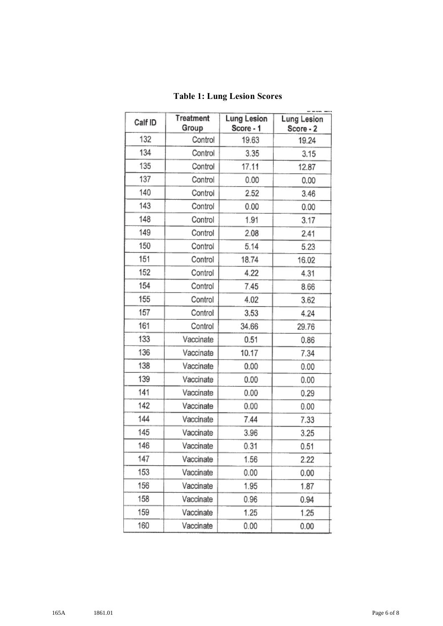| Calf ID | Treatment<br>Group | <b>Lung Lesion</b><br>Score - 1 | Lung Lesion<br>Score - 2 |
|---------|--------------------|---------------------------------|--------------------------|
| 132     | Control            | 19.63                           | 19.24                    |
| 134     | Control            | 3.35                            | 3.15                     |
| 135     | Control            | 17.11                           | 12.87                    |
| 137     | Control            | 0.00                            | 0.00                     |
| 140     | Control            | 2.52                            | 3.46                     |
| 143     | Control            | 0.00                            | 0.00                     |
| 148     | Control            | 1.91                            | 3.17                     |
| 149     | Control            | 2.08                            | 2.41                     |
| 150     | Control            | 5.14                            | 5.23                     |
| 151     | Control            | 18.74                           | 16.02                    |
| 152     | Control            | 4.22                            | 4.31                     |
| 154     | Control            | 7.45                            | 8.66                     |
| 155     | Control            | 4.02                            | 3.62                     |
| 157     | Control            | 3.53                            | 4.24                     |
| 161     | Control            | 34.66                           | 29.76                    |
| 133     | Vaccinate          | 0.51                            | 0.86                     |
| 136     | Vaccinate          | 10.17                           | 7.34                     |
| 138     | Vaccinate          | 0.00                            | 0.00                     |
| 139     | Vaccinate          | 0.00                            | 0.00                     |
| 141     | Vaccinate          | 0.00                            | 0.29                     |
| 142     | Vaccinate          | 0.00                            | 0.00                     |
| 144     | Vaccinate          | 7.44                            | 7.33                     |
| 145     | Vaccinate          | 3.96                            | 3.25                     |
| 146     | Vaccinate          | 0.31                            | 0.51                     |
| 147     | Vaccinate          | 1.56                            | 2.22                     |
| 153     | Vaccinate          | 0.00                            | 0.00                     |
| 156     | Vaccinate          | 1.95                            | 1.87                     |
| 158     | Vaccinate          | 0.96                            | 0.94                     |
| 159     | Vaccinate          | 1.25                            | 1.25                     |
| 160     | Vaccinate          | 0.00                            | 0.00                     |

## **Table 1: Lung Lesion Scores**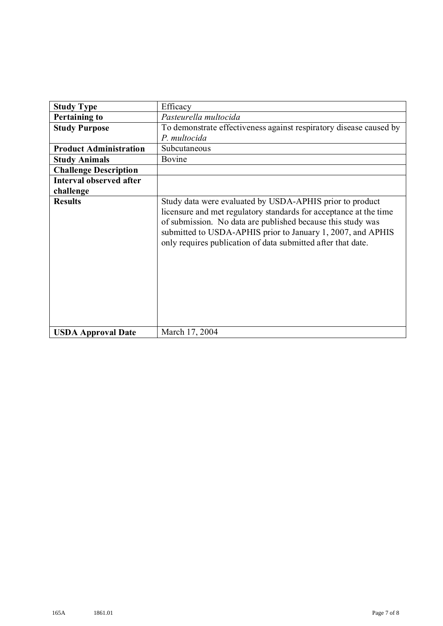| <b>Study Type</b>              | Efficacy                                                                                                                                                                                                                                                                                                                    |  |
|--------------------------------|-----------------------------------------------------------------------------------------------------------------------------------------------------------------------------------------------------------------------------------------------------------------------------------------------------------------------------|--|
| <b>Pertaining to</b>           | Pasteurella multocida                                                                                                                                                                                                                                                                                                       |  |
| <b>Study Purpose</b>           | To demonstrate effectiveness against respiratory disease caused by<br>P. multocida                                                                                                                                                                                                                                          |  |
| <b>Product Administration</b>  | Subcutaneous                                                                                                                                                                                                                                                                                                                |  |
| <b>Study Animals</b>           | Bovine                                                                                                                                                                                                                                                                                                                      |  |
| <b>Challenge Description</b>   |                                                                                                                                                                                                                                                                                                                             |  |
| <b>Interval observed after</b> |                                                                                                                                                                                                                                                                                                                             |  |
| challenge                      |                                                                                                                                                                                                                                                                                                                             |  |
| <b>Results</b>                 | Study data were evaluated by USDA-APHIS prior to product<br>licensure and met regulatory standards for acceptance at the time<br>of submission. No data are published because this study was<br>submitted to USDA-APHIS prior to January 1, 2007, and APHIS<br>only requires publication of data submitted after that date. |  |
| <b>USDA Approval Date</b>      | March 17, 2004                                                                                                                                                                                                                                                                                                              |  |